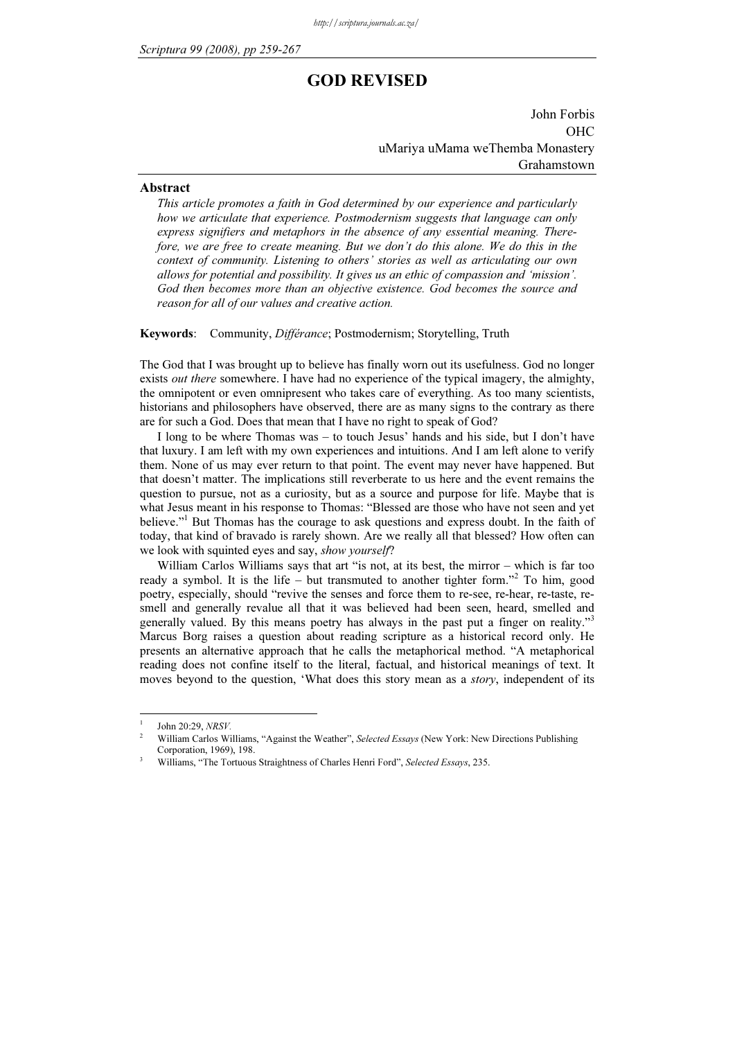# GOD REVISED

John Forbis OHC uMariya uMama weThemba Monastery Grahamstown

### Abstract

This article promotes a faith in God determined by our experience and particularly how we articulate that experience. Postmodernism suggests that language can only express signifiers and metaphors in the absence of any essential meaning. Therefore, we are free to create meaning. But we don't do this alone. We do this in the context of community. Listening to others' stories as well as articulating our own allows for potential and possibility. It gives us an ethic of compassion and 'mission'. God then becomes more than an objective existence. God becomes the source and reason for all of our values and creative action.

Keywords: Community, Différance; Postmodernism; Storytelling, Truth

The God that I was brought up to believe has finally worn out its usefulness. God no longer exists *out there* somewhere. I have had no experience of the typical imagery, the almighty, the omnipotent or even omnipresent who takes care of everything. As too many scientists, historians and philosophers have observed, there are as many signs to the contrary as there are for such a God. Does that mean that I have no right to speak of God?

I long to be where Thomas was – to touch Jesus' hands and his side, but I don't have that luxury. I am left with my own experiences and intuitions. And I am left alone to verify them. None of us may ever return to that point. The event may never have happened. But that doesn't matter. The implications still reverberate to us here and the event remains the question to pursue, not as a curiosity, but as a source and purpose for life. Maybe that is what Jesus meant in his response to Thomas: "Blessed are those who have not seen and yet believe."<sup>1</sup> But Thomas has the courage to ask questions and express doubt. In the faith of today, that kind of bravado is rarely shown. Are we really all that blessed? How often can we look with squinted eyes and say, show yourself?

William Carlos Williams says that art "is not, at its best, the mirror – which is far too ready a symbol. It is the life – but transmuted to another tighter form."<sup>2</sup> To him, good poetry, especially, should "revive the senses and force them to re-see, re-hear, re-taste, resmell and generally revalue all that it was believed had been seen, heard, smelled and generally valued. By this means poetry has always in the past put a finger on reality."<sup>3</sup> Marcus Borg raises a question about reading scripture as a historical record only. He presents an alternative approach that he calls the metaphorical method. "A metaphorical reading does not confine itself to the literal, factual, and historical meanings of text. It moves beyond to the question, 'What does this story mean as a story, independent of its

<sup>1</sup>  $\frac{1}{2}$  John 20:29, NRSV.

William Carlos Williams, "Against the Weather", Selected Essays (New York: New Directions Publishing Corporation, 1969), 198.

Williams, "The Tortuous Straightness of Charles Henri Ford", Selected Essays, 235.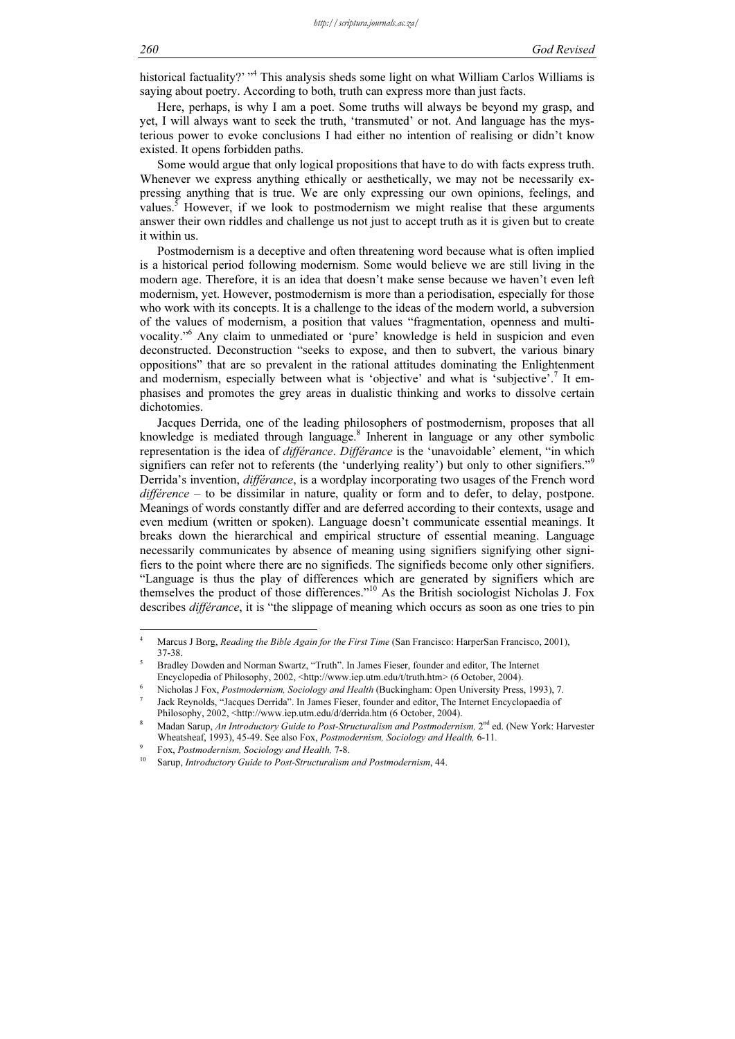historical factuality?' "<sup>4</sup> This analysis sheds some light on what William Carlos Williams is saying about poetry. According to both, truth can express more than just facts.

Here, perhaps, is why I am a poet. Some truths will always be beyond my grasp, and yet, I will always want to seek the truth, 'transmuted' or not. And language has the mysterious power to evoke conclusions I had either no intention of realising or didn't know existed. It opens forbidden paths.

Some would argue that only logical propositions that have to do with facts express truth. Whenever we express anything ethically or aesthetically, we may not be necessarily expressing anything that is true. We are only expressing our own opinions, feelings, and values.<sup>5</sup> However, if we look to postmodernism we might realise that these arguments answer their own riddles and challenge us not just to accept truth as it is given but to create it within us.

Postmodernism is a deceptive and often threatening word because what is often implied is a historical period following modernism. Some would believe we are still living in the modern age. Therefore, it is an idea that doesn't make sense because we haven't even left modernism, yet. However, postmodernism is more than a periodisation, especially for those who work with its concepts. It is a challenge to the ideas of the modern world, a subversion of the values of modernism, a position that values "fragmentation, openness and multivocality."<sup>6</sup> Any claim to unmediated or 'pure' knowledge is held in suspicion and even deconstructed. Deconstruction "seeks to expose, and then to subvert, the various binary oppositions" that are so prevalent in the rational attitudes dominating the Enlightenment and modernism, especially between what is 'objective' and what is 'subjective'.<sup>7</sup> It emphasises and promotes the grey areas in dualistic thinking and works to dissolve certain dichotomies.

Jacques Derrida, one of the leading philosophers of postmodernism, proposes that all knowledge is mediated through language.<sup>8</sup> Inherent in language or any other symbolic representation is the idea of *différance. Différance* is the 'unavoidable' element, "in which signifiers can refer not to referents (the 'underlying reality') but only to other signifiers."<sup>9</sup> Derrida's invention, différance, is a wordplay incorporating two usages of the French word  $différence - to be dissimilar in nature, quality or form and to defer, to delay, postpone.$ Meanings of words constantly differ and are deferred according to their contexts, usage and even medium (written or spoken). Language doesn't communicate essential meanings. It breaks down the hierarchical and empirical structure of essential meaning. Language necessarily communicates by absence of meaning using signifiers signifying other signifiers to the point where there are no signifieds. The signifieds become only other signifiers. "Language is thus the play of differences which are generated by signifiers which are themselves the product of those differences."<sup>10</sup> As the British sociologist Nicholas J. Fox describes *différance*, it is "the slippage of meaning which occurs as soon as one tries to pin

 4 Marcus J Borg, Reading the Bible Again for the First Time (San Francisco: HarperSan Francisco, 2001), 37-38. <sup>5</sup>

Bradley Dowden and Norman Swartz, "Truth". In James Fieser, founder and editor, The Internet Encyclopedia of Philosophy, 2002, <http://www.iep.utm.edu/t/truth.htm> (6 October, 2004).

Nicholas J Fox, Postmodernism, Sociology and Health (Buckingham: Open University Press, 1993), 7. <sup>7</sup>

Jack Reynolds, "Jacques Derrida". In James Fieser, founder and editor, The Internet Encyclopaedia of Philosophy, 2002, <http://www.iep.utm.edu/d/derrida.htm (6 October, 2004).

Madan Sarup, An Introductory Guide to Post-Structuralism and Postmodernism, 2<sup>nd</sup> ed. (New York: Harvester Wheatsheaf, 1993), 45-49. See also Fox, Postmodernism, Sociology and Health, 6-11. Fox, Postmodernism, Sociology and Health, 7-8.

Sarup, Introductory Guide to Post-Structuralism and Postmodernism, 44.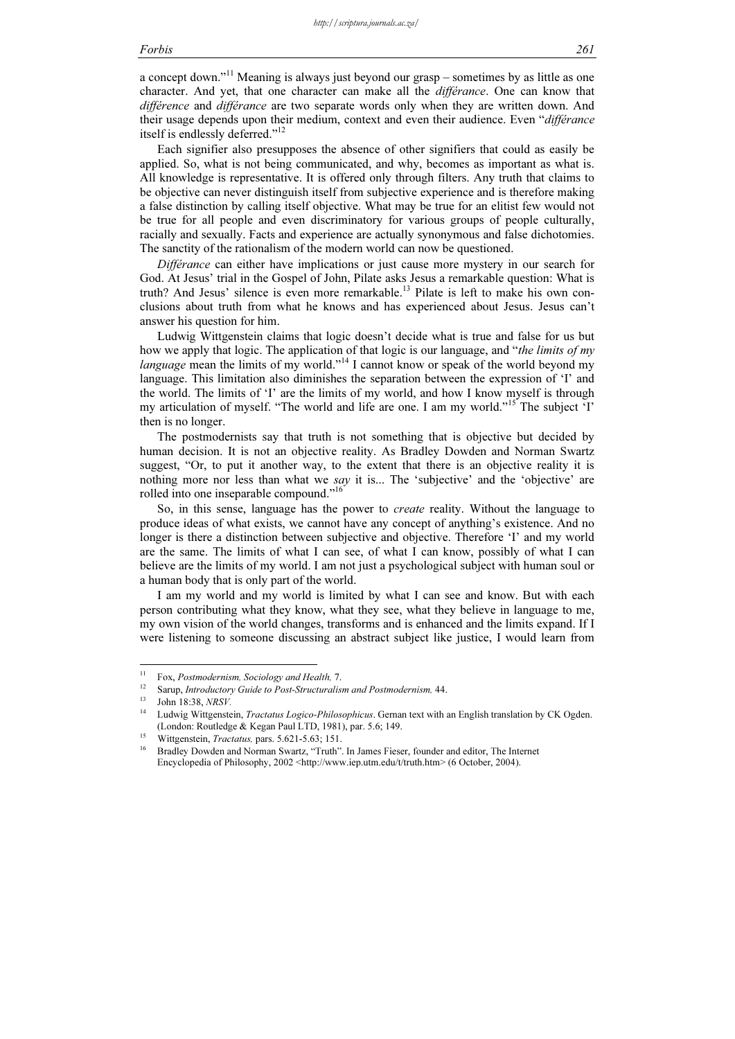## Forbis 261

a concept down."<sup>11</sup> Meaning is always just beyond our grasp – sometimes by as little as one character. And yet, that one character can make all the différance. One can know that difference and differance are two separate words only when they are written down. And their usage depends upon their medium, context and even their audience. Even "différance itself is endlessly deferred."<sup>12</sup>

Each signifier also presupposes the absence of other signifiers that could as easily be applied. So, what is not being communicated, and why, becomes as important as what is. All knowledge is representative. It is offered only through filters. Any truth that claims to be objective can never distinguish itself from subjective experience and is therefore making a false distinction by calling itself objective. What may be true for an elitist few would not be true for all people and even discriminatory for various groups of people culturally, racially and sexually. Facts and experience are actually synonymous and false dichotomies. The sanctity of the rationalism of the modern world can now be questioned.

Différance can either have implications or just cause more mystery in our search for God. At Jesus' trial in the Gospel of John, Pilate asks Jesus a remarkable question: What is truth? And Jesus' silence is even more remarkable.<sup>13</sup> Pilate is left to make his own conclusions about truth from what he knows and has experienced about Jesus. Jesus can't answer his question for him.

Ludwig Wittgenstein claims that logic doesn't decide what is true and false for us but how we apply that logic. The application of that logic is our language, and "the limits of my language mean the limits of my world."<sup>14</sup> I cannot know or speak of the world beyond my language. This limitation also diminishes the separation between the expression of 'I' and the world. The limits of 'I' are the limits of my world, and how I know myself is through my articulation of myself. "The world and life are one. I am my world."<sup>15</sup> The subject 'I' then is no longer.

The postmodernists say that truth is not something that is objective but decided by human decision. It is not an objective reality. As Bradley Dowden and Norman Swartz suggest, "Or, to put it another way, to the extent that there is an objective reality it is nothing more nor less than what we say it is... The 'subjective' and the 'objective' are rolled into one inseparable compound."<sup>16</sup>

So, in this sense, language has the power to create reality. Without the language to produce ideas of what exists, we cannot have any concept of anything's existence. And no longer is there a distinction between subjective and objective. Therefore 'I' and my world are the same. The limits of what I can see, of what I can know, possibly of what I can believe are the limits of my world. I am not just a psychological subject with human soul or a human body that is only part of the world.

I am my world and my world is limited by what I can see and know. But with each person contributing what they know, what they see, what they believe in language to me, my own vision of the world changes, transforms and is enhanced and the limits expand. If I were listening to someone discussing an abstract subject like justice, I would learn from

<sup>&</sup>lt;sup>11</sup> Fox, *Postmodernism, Sociology and Health, 7*.<br><sup>12</sup> Sarup, *Introductory Guide to Post-Structuralism and Postmodernism,* 44.<br><sup>13</sup> John 18:38, *NRSV*.<br><sup>14</sup> Ludwig Wittgenstein, *Tractatus Logico-Philosophicus*. Gernan (London: Routledge & Kegan Paul LTD, 1981), par. 5.6; 149.<br><sup>15</sup> Wittgenstein, *Tractatus*, pars. 5.621-5.63; 151.<br><sup>16</sup> Bradley Dowden and Norman Swartz, "Truth". In James Fieser, founder and editor, The Internet

Encyclopedia of Philosophy, 2002 <http://www.iep.utm.edu/t/truth.htm> (6 October, 2004).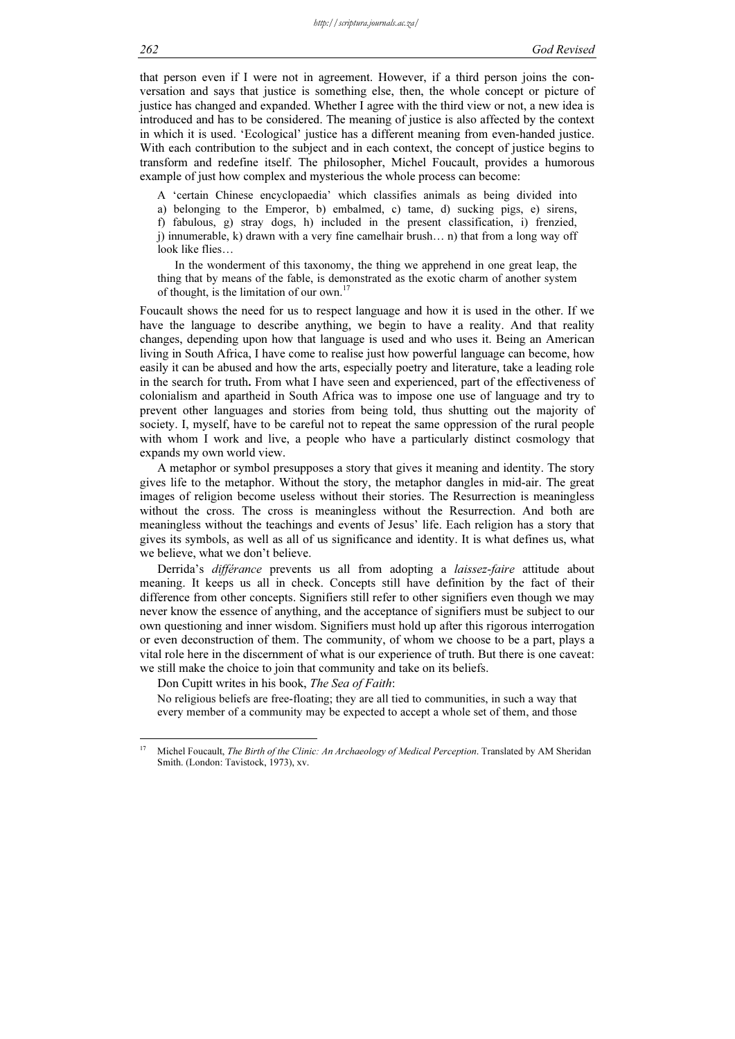that person even if I were not in agreement. However, if a third person joins the conversation and says that justice is something else, then, the whole concept or picture of justice has changed and expanded. Whether I agree with the third view or not, a new idea is introduced and has to be considered. The meaning of justice is also affected by the context in which it is used. 'Ecological' justice has a different meaning from even-handed justice. With each contribution to the subject and in each context, the concept of justice begins to transform and redefine itself. The philosopher, Michel Foucault, provides a humorous example of just how complex and mysterious the whole process can become:

A 'certain Chinese encyclopaedia' which classifies animals as being divided into a) belonging to the Emperor, b) embalmed, c) tame, d) sucking pigs, e) sirens, f) fabulous, g) stray dogs, h) included in the present classification, i) frenzied, j) innumerable, k) drawn with a very fine camelhair brush… n) that from a long way off look like flies…

In the wonderment of this taxonomy, the thing we apprehend in one great leap, the thing that by means of the fable, is demonstrated as the exotic charm of another system of thought, is the limitation of our own.<sup>17</sup>

Foucault shows the need for us to respect language and how it is used in the other. If we have the language to describe anything, we begin to have a reality. And that reality changes, depending upon how that language is used and who uses it. Being an American living in South Africa, I have come to realise just how powerful language can become, how easily it can be abused and how the arts, especially poetry and literature, take a leading role in the search for truth. From what I have seen and experienced, part of the effectiveness of colonialism and apartheid in South Africa was to impose one use of language and try to prevent other languages and stories from being told, thus shutting out the majority of society. I, myself, have to be careful not to repeat the same oppression of the rural people with whom I work and live, a people who have a particularly distinct cosmology that expands my own world view.

A metaphor or symbol presupposes a story that gives it meaning and identity. The story gives life to the metaphor. Without the story, the metaphor dangles in mid-air. The great images of religion become useless without their stories. The Resurrection is meaningless without the cross. The cross is meaningless without the Resurrection. And both are meaningless without the teachings and events of Jesus' life. Each religion has a story that gives its symbols, as well as all of us significance and identity. It is what defines us, what we believe, what we don't believe.

Derrida's différance prevents us all from adopting a laissez-faire attitude about meaning. It keeps us all in check. Concepts still have definition by the fact of their difference from other concepts. Signifiers still refer to other signifiers even though we may never know the essence of anything, and the acceptance of signifiers must be subject to our own questioning and inner wisdom. Signifiers must hold up after this rigorous interrogation or even deconstruction of them. The community, of whom we choose to be a part, plays a vital role here in the discernment of what is our experience of truth. But there is one caveat: we still make the choice to join that community and take on its beliefs.

Don Cupitt writes in his book, The Sea of Faith:

No religious beliefs are free-floating; they are all tied to communities, in such a way that every member of a community may be expected to accept a whole set of them, and those

 $17$ Michel Foucault, The Birth of the Clinic: An Archaeology of Medical Perception. Translated by AM Sheridan Smith. (London: Tavistock, 1973), xv.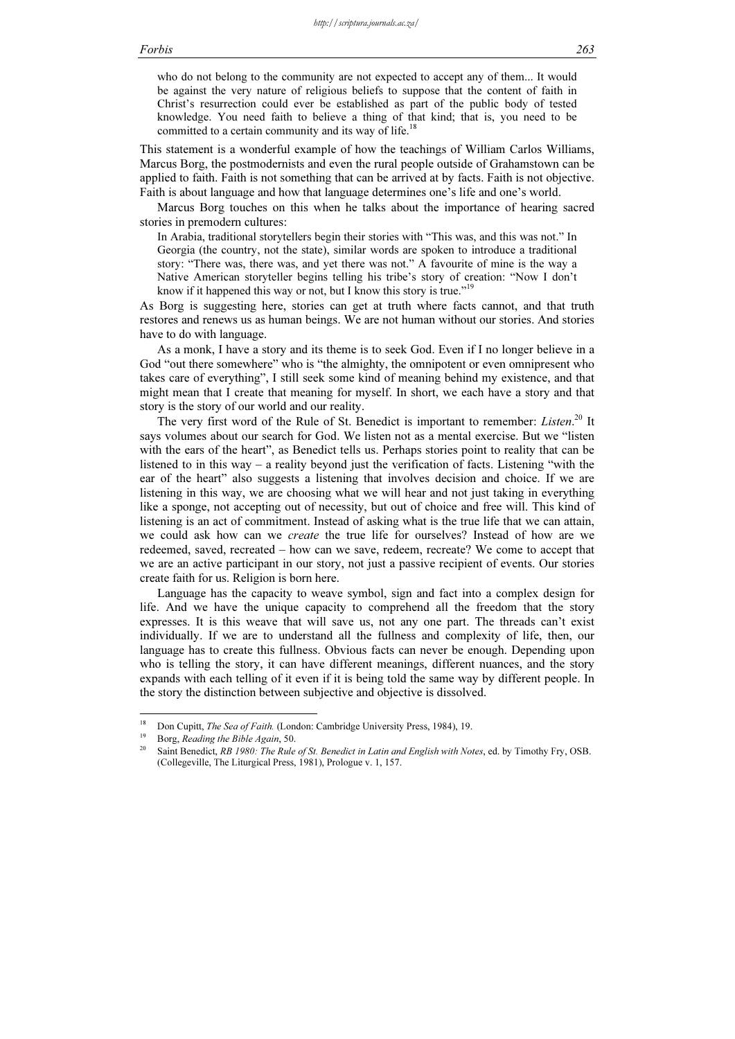who do not belong to the community are not expected to accept any of them... It would be against the very nature of religious beliefs to suppose that the content of faith in Christ's resurrection could ever be established as part of the public body of tested knowledge. You need faith to believe a thing of that kind; that is, you need to be committed to a certain community and its way of life.<sup>18</sup>

This statement is a wonderful example of how the teachings of William Carlos Williams, Marcus Borg, the postmodernists and even the rural people outside of Grahamstown can be applied to faith. Faith is not something that can be arrived at by facts. Faith is not objective. Faith is about language and how that language determines one's life and one's world.

Marcus Borg touches on this when he talks about the importance of hearing sacred stories in premodern cultures:

In Arabia, traditional storytellers begin their stories with "This was, and this was not." In Georgia (the country, not the state), similar words are spoken to introduce a traditional story: "There was, there was, and yet there was not." A favourite of mine is the way a Native American storyteller begins telling his tribe's story of creation: "Now I don't know if it happened this way or not, but I know this story is true."

As Borg is suggesting here, stories can get at truth where facts cannot, and that truth restores and renews us as human beings. We are not human without our stories. And stories have to do with language.

As a monk, I have a story and its theme is to seek God. Even if I no longer believe in a God "out there somewhere" who is "the almighty, the omnipotent or even omnipresent who takes care of everything", I still seek some kind of meaning behind my existence, and that might mean that I create that meaning for myself. In short, we each have a story and that story is the story of our world and our reality.

The very first word of the Rule of St. Benedict is important to remember: Listen.<sup>20</sup> It says volumes about our search for God. We listen not as a mental exercise. But we "listen with the ears of the heart", as Benedict tells us. Perhaps stories point to reality that can be listened to in this way – a reality beyond just the verification of facts. Listening "with the ear of the heart" also suggests a listening that involves decision and choice. If we are listening in this way, we are choosing what we will hear and not just taking in everything like a sponge, not accepting out of necessity, but out of choice and free will. This kind of listening is an act of commitment. Instead of asking what is the true life that we can attain, we could ask how can we create the true life for ourselves? Instead of how are we redeemed, saved, recreated – how can we save, redeem, recreate? We come to accept that we are an active participant in our story, not just a passive recipient of events. Our stories create faith for us. Religion is born here.

Language has the capacity to weave symbol, sign and fact into a complex design for life. And we have the unique capacity to comprehend all the freedom that the story expresses. It is this weave that will save us, not any one part. The threads can't exist individually. If we are to understand all the fullness and complexity of life, then, our language has to create this fullness. Obvious facts can never be enough. Depending upon who is telling the story, it can have different meanings, different nuances, and the story expands with each telling of it even if it is being told the same way by different people. In the story the distinction between subjective and objective is dissolved.

 $18\,$ 

Don Cupitt, *The Sea of Faith.* (London: Cambridge University Press, 1984), 19.<br>Borg, *Reading the Bible Again*, 50.<br>Saint Benedict, *RB 1980: The Rule of St. Benedict in Latin and English with Notes*, ed. by Timothy Fry, (Collegeville, The Liturgical Press, 1981), Prologue v. 1, 157.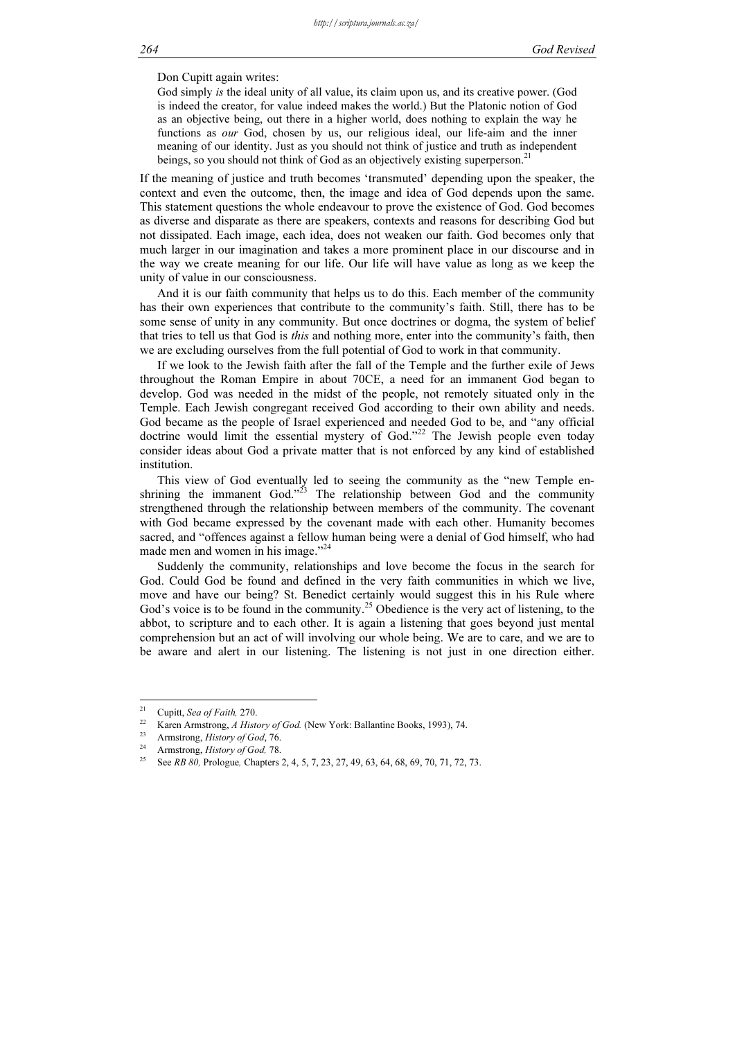Don Cupitt again writes:

God simply is the ideal unity of all value, its claim upon us, and its creative power. (God is indeed the creator, for value indeed makes the world.) But the Platonic notion of God as an objective being, out there in a higher world, does nothing to explain the way he functions as our God, chosen by us, our religious ideal, our life-aim and the inner meaning of our identity. Just as you should not think of justice and truth as independent beings, so you should not think of God as an objectively existing superperson.<sup>2</sup>

If the meaning of justice and truth becomes 'transmuted' depending upon the speaker, the context and even the outcome, then, the image and idea of God depends upon the same. This statement questions the whole endeavour to prove the existence of God. God becomes as diverse and disparate as there are speakers, contexts and reasons for describing God but not dissipated. Each image, each idea, does not weaken our faith. God becomes only that much larger in our imagination and takes a more prominent place in our discourse and in the way we create meaning for our life. Our life will have value as long as we keep the unity of value in our consciousness.

And it is our faith community that helps us to do this. Each member of the community has their own experiences that contribute to the community's faith. Still, there has to be some sense of unity in any community. But once doctrines or dogma, the system of belief that tries to tell us that God is this and nothing more, enter into the community's faith, then we are excluding ourselves from the full potential of God to work in that community.

If we look to the Jewish faith after the fall of the Temple and the further exile of Jews throughout the Roman Empire in about 70CE, a need for an immanent God began to develop. God was needed in the midst of the people, not remotely situated only in the Temple. Each Jewish congregant received God according to their own ability and needs. God became as the people of Israel experienced and needed God to be, and "any official doctrine would limit the essential mystery of God."<sup>22</sup> The Jewish people even today consider ideas about God a private matter that is not enforced by any kind of established institution.

This view of God eventually led to seeing the community as the "new Temple enshrining the immanent God."<sup>23</sup> The relationship between God and the community strengthened through the relationship between members of the community. The covenant with God became expressed by the covenant made with each other. Humanity becomes sacred, and "offences against a fellow human being were a denial of God himself, who had made men and women in his image."<sup>24</sup>

Suddenly the community, relationships and love become the focus in the search for God. Could God be found and defined in the very faith communities in which we live, move and have our being? St. Benedict certainly would suggest this in his Rule where God's voice is to be found in the community.<sup>25</sup> Obedience is the very act of listening, to the abbot, to scripture and to each other. It is again a listening that goes beyond just mental comprehension but an act of will involving our whole being. We are to care, and we are to be aware and alert in our listening. The listening is not just in one direction either.

 $21$ 

<sup>&</sup>lt;sup>21</sup> Cupitt, *Sea of Faith*, 270.<br>
<sup>22</sup> Karen Armstrong, *A History of God.* (New York: Ballantine Books, 1993), 74.<br>
<sup>23</sup> Armstrong, *History of God*, 76.<br>
<sup>24</sup> Armstrong, *History of God*, 78.<br>
See *RB 80*, Prologue, Ch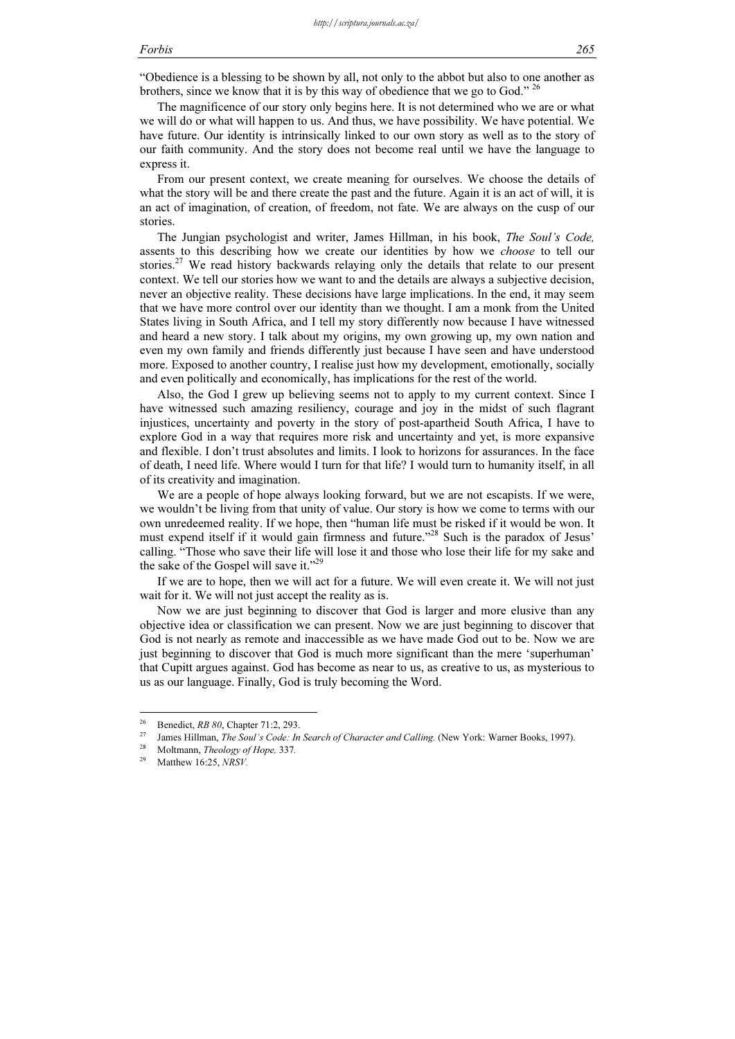### Forbis 265

"Obedience is a blessing to be shown by all, not only to the abbot but also to one another as brothers, since we know that it is by this way of obedience that we go to God."  $^{26}$ 

The magnificence of our story only begins here. It is not determined who we are or what we will do or what will happen to us. And thus, we have possibility. We have potential. We have future. Our identity is intrinsically linked to our own story as well as to the story of our faith community. And the story does not become real until we have the language to express it.

From our present context, we create meaning for ourselves. We choose the details of what the story will be and there create the past and the future. Again it is an act of will, it is an act of imagination, of creation, of freedom, not fate. We are always on the cusp of our stories.

The Jungian psychologist and writer, James Hillman, in his book, The Soul's Code, assents to this describing how we create our identities by how we choose to tell our stories.<sup>27</sup> We read history backwards relaying only the details that relate to our present context. We tell our stories how we want to and the details are always a subjective decision, never an objective reality. These decisions have large implications. In the end, it may seem that we have more control over our identity than we thought. I am a monk from the United States living in South Africa, and I tell my story differently now because I have witnessed and heard a new story. I talk about my origins, my own growing up, my own nation and even my own family and friends differently just because I have seen and have understood more. Exposed to another country, I realise just how my development, emotionally, socially and even politically and economically, has implications for the rest of the world.

Also, the God I grew up believing seems not to apply to my current context. Since I have witnessed such amazing resiliency, courage and joy in the midst of such flagrant injustices, uncertainty and poverty in the story of post-apartheid South Africa, I have to explore God in a way that requires more risk and uncertainty and yet, is more expansive and flexible. I don't trust absolutes and limits. I look to horizons for assurances. In the face of death, I need life. Where would I turn for that life? I would turn to humanity itself, in all of its creativity and imagination.

We are a people of hope always looking forward, but we are not escapists. If we were, we wouldn't be living from that unity of value. Our story is how we come to terms with our own unredeemed reality. If we hope, then "human life must be risked if it would be won. It must expend itself if it would gain firmness and future."<sup>28</sup> Such is the paradox of Jesus' calling. "Those who save their life will lose it and those who lose their life for my sake and the sake of the Gospel will save it."<sup>29</sup>

If we are to hope, then we will act for a future. We will even create it. We will not just wait for it. We will not just accept the reality as is.

Now we are just beginning to discover that God is larger and more elusive than any objective idea or classification we can present. Now we are just beginning to discover that God is not nearly as remote and inaccessible as we have made God out to be. Now we are just beginning to discover that God is much more significant than the mere 'superhuman' that Cupitt argues against. God has become as near to us, as creative to us, as mysterious to us as our language. Finally, God is truly becoming the Word.

<sup>&</sup>lt;sup>26</sup> Benedict, *RB 80*, Chapter 71:2, 293.<br><sup>27</sup> James Hillman, *The Soul's Code: In Search of Character and Calling.* (New York: Warner Books, 1997).<br><sup>28</sup> Moltmann, *Theology of Hope,* 337.<br><sup>29</sup> Matthew 16:25, *NRSV.*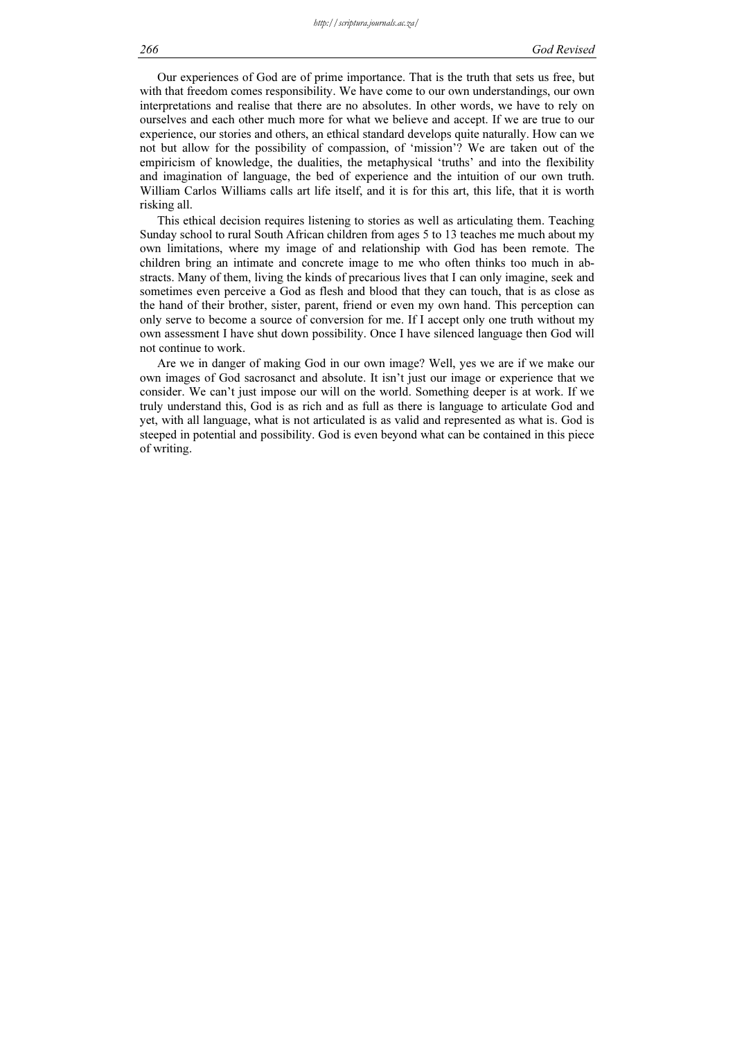Our experiences of God are of prime importance. That is the truth that sets us free, but with that freedom comes responsibility. We have come to our own understandings, our own interpretations and realise that there are no absolutes. In other words, we have to rely on ourselves and each other much more for what we believe and accept. If we are true to our experience, our stories and others, an ethical standard develops quite naturally. How can we not but allow for the possibility of compassion, of 'mission'? We are taken out of the empiricism of knowledge, the dualities, the metaphysical 'truths' and into the flexibility and imagination of language, the bed of experience and the intuition of our own truth. William Carlos Williams calls art life itself, and it is for this art, this life, that it is worth risking all.

This ethical decision requires listening to stories as well as articulating them. Teaching Sunday school to rural South African children from ages 5 to 13 teaches me much about my own limitations, where my image of and relationship with God has been remote. The children bring an intimate and concrete image to me who often thinks too much in abstracts. Many of them, living the kinds of precarious lives that I can only imagine, seek and sometimes even perceive a God as flesh and blood that they can touch, that is as close as the hand of their brother, sister, parent, friend or even my own hand. This perception can only serve to become a source of conversion for me. If I accept only one truth without my own assessment I have shut down possibility. Once I have silenced language then God will not continue to work.

Are we in danger of making God in our own image? Well, yes we are if we make our own images of God sacrosanct and absolute. It isn't just our image or experience that we consider. We can't just impose our will on the world. Something deeper is at work. If we truly understand this, God is as rich and as full as there is language to articulate God and yet, with all language, what is not articulated is as valid and represented as what is. God is steeped in potential and possibility. God is even beyond what can be contained in this piece of writing.